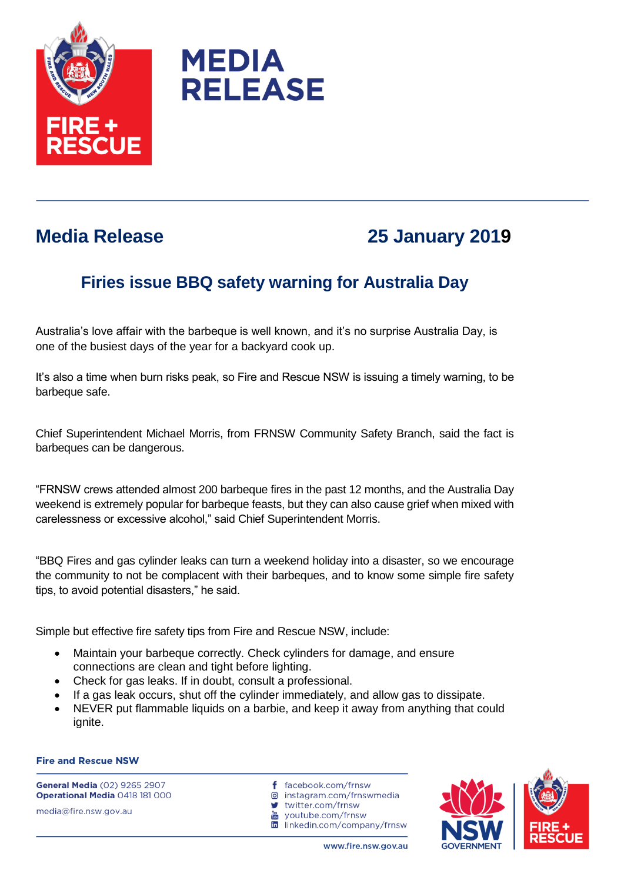



## **Media Release 25 January 2019**

## **Firies issue BBQ safety warning for Australia Day**

Australia's love affair with the barbeque is well known, and it's no surprise Australia Day, is one of the busiest days of the year for a backyard cook up.

It's also a time when burn risks peak, so Fire and Rescue NSW is issuing a timely warning, to be barbeque safe.

Chief Superintendent Michael Morris, from FRNSW Community Safety Branch, said the fact is barbeques can be dangerous.

"FRNSW crews attended almost 200 barbeque fires in the past 12 months, and the Australia Day weekend is extremely popular for barbeque feasts, but they can also cause grief when mixed with carelessness or excessive alcohol," said Chief Superintendent Morris.

"BBQ Fires and gas cylinder leaks can turn a weekend holiday into a disaster, so we encourage the community to not be complacent with their barbeques, and to know some simple fire safety tips, to avoid potential disasters," he said.

Simple but effective fire safety tips from Fire and Rescue NSW, include:

- Maintain your barbeque correctly. Check cylinders for damage, and ensure connections are clean and tight before lighting.
- Check for gas leaks. If in doubt, consult a professional.
- If a gas leak occurs, shut off the cylinder immediately, and allow gas to dissipate.
- NEVER put flammable liquids on a barbie, and keep it away from anything that could ignite.

## **Fire and Rescue NSW**

**General Media (02) 9265 2907** Operational Media 0418 181 000 media@fire.nsw.gov.au

- f facebook.com/frnsw
- @ instagram.com/frnswmedia
- $\bullet$ twitter.com/frnsw
- youtube.com/frnsw Tube
- in linkedin.com/company/frnsw

www.fire.nsw.gov.au